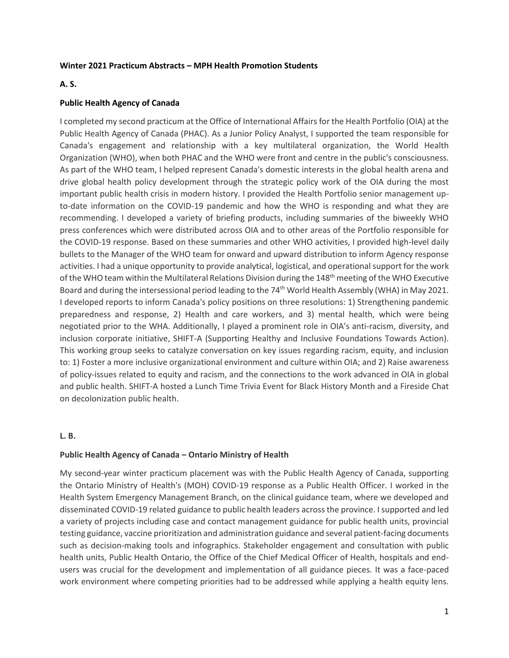### **Winter 2021 Practicum Abstracts – MPH Health Promotion Students**

### **A. S.**

### **Public Health Agency of Canada**

I completed my second practicum at the Office of International Affairs for the Health Portfolio (OIA) at the Public Health Agency of Canada (PHAC). As a Junior Policy Analyst, I supported the team responsible for Canada's engagement and relationship with a key multilateral organization, the World Health Organization (WHO), when both PHAC and the WHO were front and centre in the public's consciousness. As part of the WHO team, I helped represent Canada's domestic interests in the global health arena and drive global health policy development through the strategic policy work of the OIA during the most important public health crisis in modern history. I provided the Health Portfolio senior management upto-date information on the COVID-19 pandemic and how the WHO is responding and what they are recommending. I developed a variety of briefing products, including summaries of the biweekly WHO press conferences which were distributed across OIA and to other areas of the Portfolio responsible for the COVID-19 response. Based on these summaries and other WHO activities, I provided high-level daily bullets to the Manager of the WHO team for onward and upward distribution to inform Agency response activities. I had a unique opportunity to provide analytical, logistical, and operational support for the work of the WHO team within the Multilateral Relations Division during the 148<sup>th</sup> meeting of the WHO Executive Board and during the intersessional period leading to the 74<sup>th</sup> World Health Assembly (WHA) in May 2021. I developed reports to inform Canada's policy positions on three resolutions: 1) Strengthening pandemic preparedness and response, 2) Health and care workers, and 3) mental health, which were being negotiated prior to the WHA. Additionally, I played a prominent role in OIA's anti-racism, diversity, and inclusion corporate initiative, SHIFT-A (Supporting Healthy and Inclusive Foundations Towards Action). This working group seeks to catalyze conversation on key issues regarding racism, equity, and inclusion to: 1) Foster a more inclusive organizational environment and culture within OIA; and 2) Raise awareness of policy-issues related to equity and racism, and the connections to the work advanced in OIA in global and public health. SHIFT-A hosted a Lunch Time Trivia Event for Black History Month and a Fireside Chat on decolonization public health.

#### **L. B.**

## **Public Health Agency of Canada – Ontario Ministry of Health**

My second-year winter practicum placement was with the Public Health Agency of Canada, supporting the Ontario Ministry of Health's (MOH) COVID-19 response as a Public Health Officer. I worked in the Health System Emergency Management Branch, on the clinical guidance team, where we developed and disseminated COVID-19 related guidance to public health leaders across the province. I supported and led a variety of projects including case and contact management guidance for public health units, provincial testing guidance, vaccine prioritization and administration guidance and several patient-facing documents such as decision-making tools and infographics. Stakeholder engagement and consultation with public health units, Public Health Ontario, the Office of the Chief Medical Officer of Health, hospitals and endusers was crucial for the development and implementation of all guidance pieces. It was a face-paced work environment where competing priorities had to be addressed while applying a health equity lens.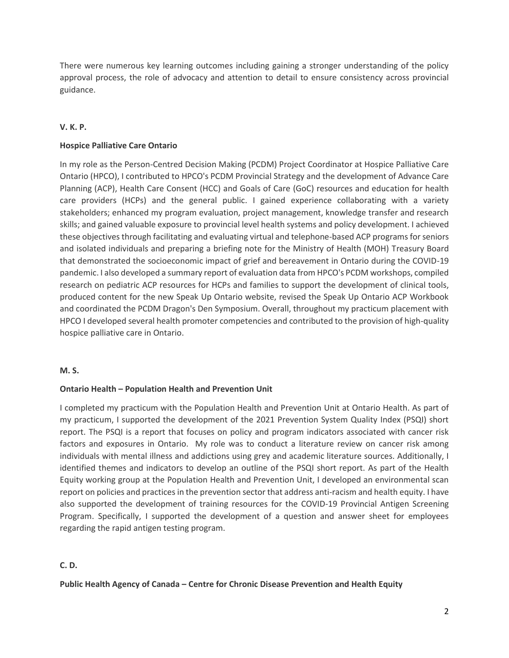There were numerous key learning outcomes including gaining a stronger understanding of the policy approval process, the role of advocacy and attention to detail to ensure consistency across provincial guidance.

# **V. K. P.**

# **Hospice Palliative Care Ontario**

In my role as the Person-Centred Decision Making (PCDM) Project Coordinator at Hospice Palliative Care Ontario (HPCO), I contributed to HPCO's PCDM Provincial Strategy and the development of Advance Care Planning (ACP), Health Care Consent (HCC) and Goals of Care (GoC) resources and education for health care providers (HCPs) and the general public. I gained experience collaborating with a variety stakeholders; enhanced my program evaluation, project management, knowledge transfer and research skills; and gained valuable exposure to provincial level health systems and policy development. I achieved these objectives through facilitating and evaluating virtual and telephone-based ACP programs for seniors and isolated individuals and preparing a briefing note for the Ministry of Health (MOH) Treasury Board that demonstrated the socioeconomic impact of grief and bereavement in Ontario during the COVID-19 pandemic. I also developed a summary report of evaluation data from HPCO's PCDM workshops, compiled research on pediatric ACP resources for HCPs and families to support the development of clinical tools, produced content for the new Speak Up Ontario website, revised the Speak Up Ontario ACP Workbook and coordinated the PCDM Dragon's Den Symposium. Overall, throughout my practicum placement with HPCO I developed several health promoter competencies and contributed to the provision of high-quality hospice palliative care in Ontario.

## **M. S.**

## **Ontario Health – Population Health and Prevention Unit**

I completed my practicum with the Population Health and Prevention Unit at Ontario Health. As part of my practicum, I supported the development of the 2021 Prevention System Quality Index (PSQI) short report. The PSQI is a report that focuses on policy and program indicators associated with cancer risk factors and exposures in Ontario. My role was to conduct a literature review on cancer risk among individuals with mental illness and addictions using grey and academic literature sources. Additionally, I identified themes and indicators to develop an outline of the PSQI short report. As part of the Health Equity working group at the Population Health and Prevention Unit, I developed an environmental scan report on policies and practices in the prevention sector that address anti-racism and health equity. I have also supported the development of training resources for the COVID-19 Provincial Antigen Screening Program. Specifically, I supported the development of a question and answer sheet for employees regarding the rapid antigen testing program.

# **C. D.**

## **Public Health Agency of Canada – Centre for Chronic Disease Prevention and Health Equity**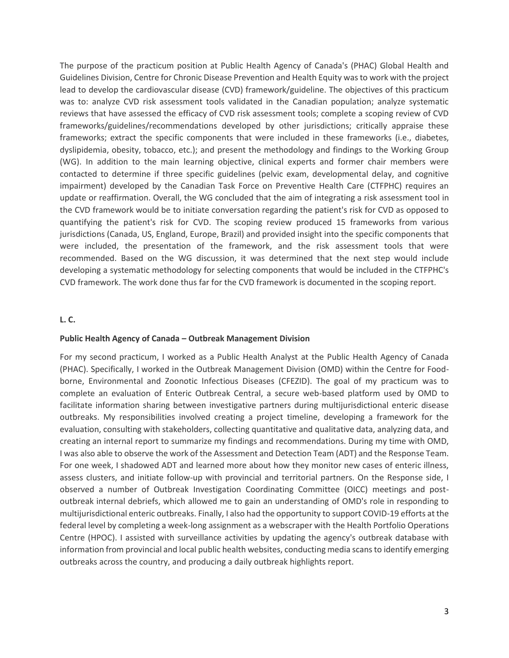The purpose of the practicum position at Public Health Agency of Canada's (PHAC) Global Health and Guidelines Division, Centre for Chronic Disease Prevention and Health Equity was to work with the project lead to develop the cardiovascular disease (CVD) framework/guideline. The objectives of this practicum was to: analyze CVD risk assessment tools validated in the Canadian population; analyze systematic reviews that have assessed the efficacy of CVD risk assessment tools; complete a scoping review of CVD frameworks/guidelines/recommendations developed by other jurisdictions; critically appraise these frameworks; extract the specific components that were included in these frameworks (i.e., diabetes, dyslipidemia, obesity, tobacco, etc.); and present the methodology and findings to the Working Group (WG). In addition to the main learning objective, clinical experts and former chair members were contacted to determine if three specific guidelines (pelvic exam, developmental delay, and cognitive impairment) developed by the Canadian Task Force on Preventive Health Care (CTFPHC) requires an update or reaffirmation. Overall, the WG concluded that the aim of integrating a risk assessment tool in the CVD framework would be to initiate conversation regarding the patient's risk for CVD as opposed to quantifying the patient's risk for CVD. The scoping review produced 15 frameworks from various jurisdictions (Canada, US, England, Europe, Brazil) and provided insight into the specific components that were included, the presentation of the framework, and the risk assessment tools that were recommended. Based on the WG discussion, it was determined that the next step would include developing a systematic methodology for selecting components that would be included in the CTFPHC's CVD framework. The work done thus far for the CVD framework is documented in the scoping report.

### **L. C.**

#### **Public Health Agency of Canada – Outbreak Management Division**

For my second practicum, I worked as a Public Health Analyst at the Public Health Agency of Canada (PHAC). Specifically, I worked in the Outbreak Management Division (OMD) within the Centre for Foodborne, Environmental and Zoonotic Infectious Diseases (CFEZID). The goal of my practicum was to complete an evaluation of Enteric Outbreak Central, a secure web-based platform used by OMD to facilitate information sharing between investigative partners during multijurisdictional enteric disease outbreaks. My responsibilities involved creating a project timeline, developing a framework for the evaluation, consulting with stakeholders, collecting quantitative and qualitative data, analyzing data, and creating an internal report to summarize my findings and recommendations. During my time with OMD, I was also able to observe the work of the Assessment and Detection Team (ADT) and the Response Team. For one week, I shadowed ADT and learned more about how they monitor new cases of enteric illness, assess clusters, and initiate follow-up with provincial and territorial partners. On the Response side, I observed a number of Outbreak Investigation Coordinating Committee (OICC) meetings and postoutbreak internal debriefs, which allowed me to gain an understanding of OMD's role in responding to multijurisdictional enteric outbreaks. Finally, I also had the opportunity to support COVID-19 efforts at the federal level by completing a week-long assignment as a webscraper with the Health Portfolio Operations Centre (HPOC). I assisted with surveillance activities by updating the agency's outbreak database with information from provincial and local public health websites, conducting media scans to identify emerging outbreaks across the country, and producing a daily outbreak highlights report.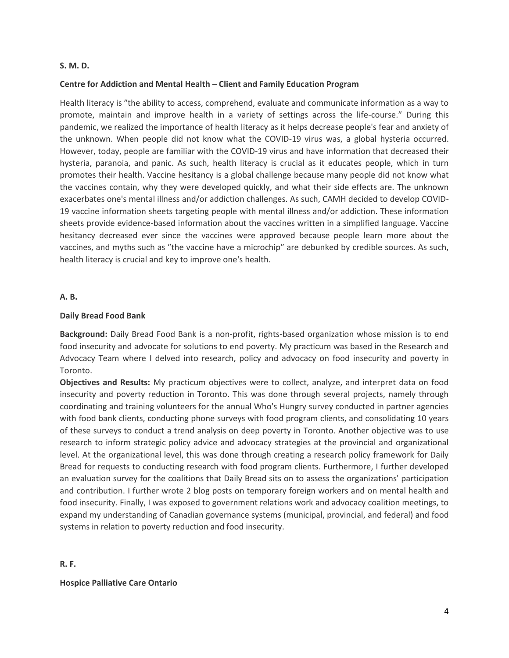#### **S. M. D.**

### **Centre for Addiction and Mental Health – Client and Family Education Program**

Health literacy is ″the ability to access, comprehend, evaluate and communicate information as a way to promote, maintain and improve health in a variety of settings across the life-course.″ During this pandemic, we realized the importance of health literacy as it helps decrease people's fear and anxiety of the unknown. When people did not know what the COVID-19 virus was, a global hysteria occurred. However, today, people are familiar with the COVID-19 virus and have information that decreased their hysteria, paranoia, and panic. As such, health literacy is crucial as it educates people, which in turn promotes their health. Vaccine hesitancy is a global challenge because many people did not know what the vaccines contain, why they were developed quickly, and what their side effects are. The unknown exacerbates one's mental illness and/or addiction challenges. As such, CAMH decided to develop COVID-19 vaccine information sheets targeting people with mental illness and/or addiction. These information sheets provide evidence-based information about the vaccines written in a simplified language. Vaccine hesitancy decreased ever since the vaccines were approved because people learn more about the vaccines, and myths such as ″the vaccine have a microchip″ are debunked by credible sources. As such, health literacy is crucial and key to improve one's health.

#### **A. B.**

#### **Daily Bread Food Bank**

**Background:** Daily Bread Food Bank is a non-profit, rights-based organization whose mission is to end food insecurity and advocate for solutions to end poverty. My practicum was based in the Research and Advocacy Team where I delved into research, policy and advocacy on food insecurity and poverty in Toronto.

**Objectives and Results:** My practicum objectives were to collect, analyze, and interpret data on food insecurity and poverty reduction in Toronto. This was done through several projects, namely through coordinating and training volunteers for the annual Who's Hungry survey conducted in partner agencies with food bank clients, conducting phone surveys with food program clients, and consolidating 10 years of these surveys to conduct a trend analysis on deep poverty in Toronto. Another objective was to use research to inform strategic policy advice and advocacy strategies at the provincial and organizational level. At the organizational level, this was done through creating a research policy framework for Daily Bread for requests to conducting research with food program clients. Furthermore, I further developed an evaluation survey for the coalitions that Daily Bread sits on to assess the organizations' participation and contribution. I further wrote 2 blog posts on temporary foreign workers and on mental health and food insecurity. Finally, I was exposed to government relations work and advocacy coalition meetings, to expand my understanding of Canadian governance systems (municipal, provincial, and federal) and food systems in relation to poverty reduction and food insecurity.

**R. F.**

**Hospice Palliative Care Ontario**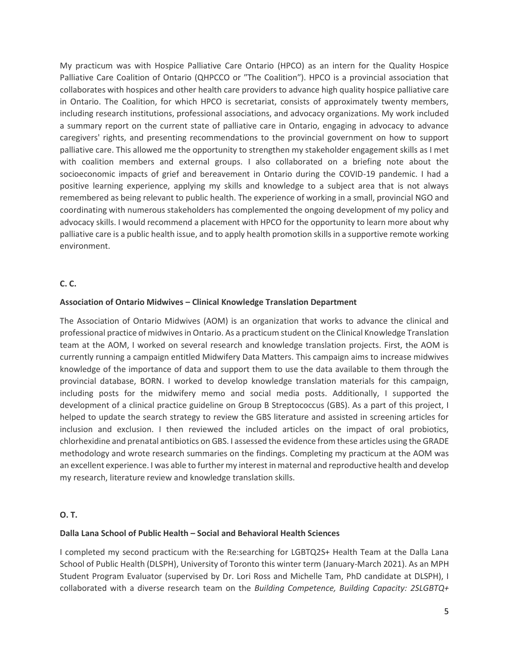My practicum was with Hospice Palliative Care Ontario (HPCO) as an intern for the Quality Hospice Palliative Care Coalition of Ontario (QHPCCO or ″The Coalition″). HPCO is a provincial association that collaborates with hospices and other health care providers to advance high quality hospice palliative care in Ontario. The Coalition, for which HPCO is secretariat, consists of approximately twenty members, including research institutions, professional associations, and advocacy organizations. My work included a summary report on the current state of palliative care in Ontario, engaging in advocacy to advance caregivers' rights, and presenting recommendations to the provincial government on how to support palliative care. This allowed me the opportunity to strengthen my stakeholder engagement skills as I met with coalition members and external groups. I also collaborated on a briefing note about the socioeconomic impacts of grief and bereavement in Ontario during the COVID-19 pandemic. I had a positive learning experience, applying my skills and knowledge to a subject area that is not always remembered as being relevant to public health. The experience of working in a small, provincial NGO and coordinating with numerous stakeholders has complemented the ongoing development of my policy and advocacy skills. I would recommend a placement with HPCO for the opportunity to learn more about why palliative care is a public health issue, and to apply health promotion skills in a supportive remote working environment.

## **C. C.**

## **Association of Ontario Midwives – Clinical Knowledge Translation Department**

The Association of Ontario Midwives (AOM) is an organization that works to advance the clinical and professional practice of midwives in Ontario. As a practicum student on the Clinical Knowledge Translation team at the AOM, I worked on several research and knowledge translation projects. First, the AOM is currently running a campaign entitled Midwifery Data Matters. This campaign aims to increase midwives knowledge of the importance of data and support them to use the data available to them through the provincial database, BORN. I worked to develop knowledge translation materials for this campaign, including posts for the midwifery memo and social media posts. Additionally, I supported the development of a clinical practice guideline on Group B Streptococcus (GBS). As a part of this project, I helped to update the search strategy to review the GBS literature and assisted in screening articles for inclusion and exclusion. I then reviewed the included articles on the impact of oral probiotics, chlorhexidine and prenatal antibiotics on GBS. I assessed the evidence from these articles using the GRADE methodology and wrote research summaries on the findings. Completing my practicum at the AOM was an excellent experience. I was able to further my interest in maternal and reproductive health and develop my research, literature review and knowledge translation skills.

## **O. T.**

#### **Dalla Lana School of Public Health – Social and Behavioral Health Sciences**

I completed my second practicum with the Re:searching for LGBTQ2S+ Health Team at the Dalla Lana School of Public Health (DLSPH), University of Toronto this winter term (January-March 2021). As an MPH Student Program Evaluator (supervised by Dr. Lori Ross and Michelle Tam, PhD candidate at DLSPH), I collaborated with a diverse research team on the *Building Competence, Building Capacity: 2SLGBTQ+*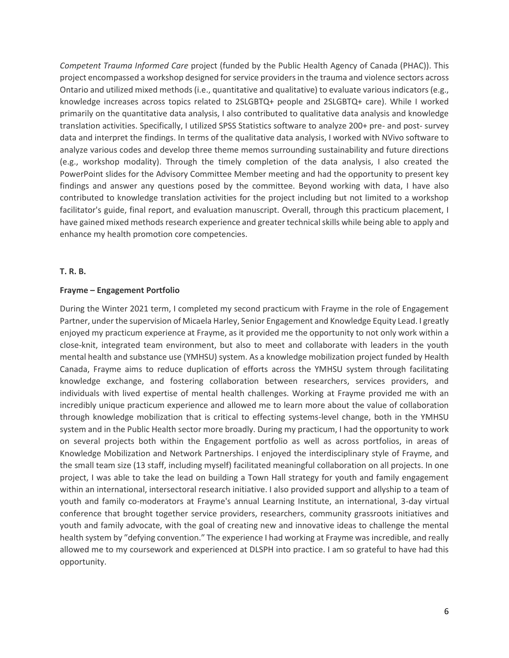*Competent Trauma Informed Care* project (funded by the Public Health Agency of Canada (PHAC)). This project encompassed a workshop designed for service providers in the trauma and violence sectors across Ontario and utilized mixed methods (i.e., quantitative and qualitative) to evaluate various indicators (e.g., knowledge increases across topics related to 2SLGBTQ+ people and 2SLGBTQ+ care). While I worked primarily on the quantitative data analysis, I also contributed to qualitative data analysis and knowledge translation activities. Specifically, I utilized SPSS Statistics software to analyze 200+ pre- and post- survey data and interpret the findings. In terms of the qualitative data analysis, I worked with NVivo software to analyze various codes and develop three theme memos surrounding sustainability and future directions (e.g., workshop modality). Through the timely completion of the data analysis, I also created the PowerPoint slides for the Advisory Committee Member meeting and had the opportunity to present key findings and answer any questions posed by the committee. Beyond working with data, I have also contributed to knowledge translation activities for the project including but not limited to a workshop facilitator's guide, final report, and evaluation manuscript. Overall, through this practicum placement, I have gained mixed methods research experience and greater technical skills while being able to apply and enhance my health promotion core competencies.

#### **T. R. B.**

#### **Frayme – Engagement Portfolio**

During the Winter 2021 term, I completed my second practicum with Frayme in the role of Engagement Partner, under the supervision of Micaela Harley, Senior Engagement and Knowledge Equity Lead. I greatly enjoyed my practicum experience at Frayme, as it provided me the opportunity to not only work within a close-knit, integrated team environment, but also to meet and collaborate with leaders in the youth mental health and substance use (YMHSU) system. As a knowledge mobilization project funded by Health Canada, Frayme aims to reduce duplication of efforts across the YMHSU system through facilitating knowledge exchange, and fostering collaboration between researchers, services providers, and individuals with lived expertise of mental health challenges. Working at Frayme provided me with an incredibly unique practicum experience and allowed me to learn more about the value of collaboration through knowledge mobilization that is critical to effecting systems-level change, both in the YMHSU system and in the Public Health sector more broadly. During my practicum, I had the opportunity to work on several projects both within the Engagement portfolio as well as across portfolios, in areas of Knowledge Mobilization and Network Partnerships. I enjoyed the interdisciplinary style of Frayme, and the small team size (13 staff, including myself) facilitated meaningful collaboration on all projects. In one project, I was able to take the lead on building a Town Hall strategy for youth and family engagement within an international, intersectoral research initiative. I also provided support and allyship to a team of youth and family co-moderators at Frayme's annual Learning Institute, an international, 3-day virtual conference that brought together service providers, researchers, community grassroots initiatives and youth and family advocate, with the goal of creating new and innovative ideas to challenge the mental health system by ″defying convention.″ The experience I had working at Frayme was incredible, and really allowed me to my coursework and experienced at DLSPH into practice. I am so grateful to have had this opportunity.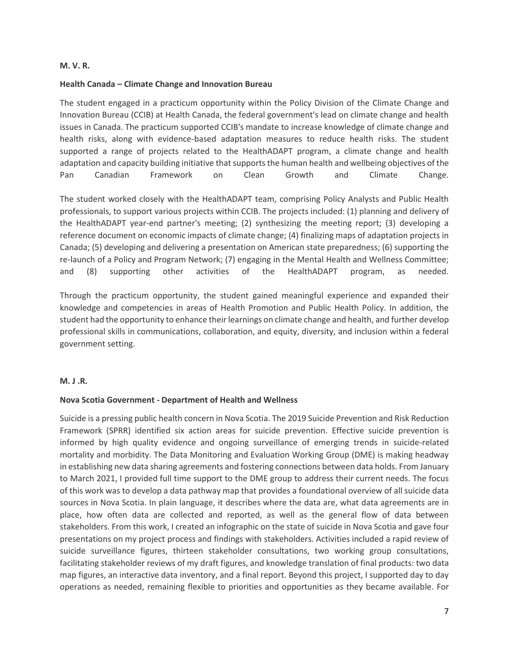#### **M. V. R.**

### **Health Canada – Climate Change and Innovation Bureau**

The student engaged in a practicum opportunity within the Policy Division of the Climate Change and Innovation Bureau (CCIB) at Health Canada, the federal government's lead on climate change and health issues in Canada. The practicum supported CCIB's mandate to increase knowledge of climate change and health risks, along with evidence-based adaptation measures to reduce health risks. The student supported a range of projects related to the HealthADAPT program, a climate change and health adaptation and capacity building initiative that supports the human health and wellbeing objectives of the Pan Canadian Framework on Clean Growth and Climate Change.

The student worked closely with the HealthADAPT team, comprising Policy Analysts and Public Health professionals, to support various projects within CCIB. The projects included: (1) planning and delivery of the HealthADAPT year-end partner's meeting; (2) synthesizing the meeting report; (3) developing a reference document on economic impacts of climate change; (4) finalizing maps of adaptation projects in Canada; (5) developing and delivering a presentation on American state preparedness; (6) supporting the re-launch of a Policy and Program Network; (7) engaging in the Mental Health and Wellness Committee; and (8) supporting other activities of the HealthADAPT program, as needed.

Through the practicum opportunity, the student gained meaningful experience and expanded their knowledge and competencies in areas of Health Promotion and Public Health Policy. In addition, the student had the opportunity to enhance their learnings on climate change and health, and further develop professional skills in communications, collaboration, and equity, diversity, and inclusion within a federal government setting.

#### **M. J .R.**

## **Nova Scotia Government - Department of Health and Wellness**

Suicide is a pressing public health concern in Nova Scotia. The 2019 Suicide Prevention and Risk Reduction Framework (SPRR) identified six action areas for suicide prevention. Effective suicide prevention is informed by high quality evidence and ongoing surveillance of emerging trends in suicide-related mortality and morbidity. The Data Monitoring and Evaluation Working Group (DME) is making headway in establishing new data sharing agreements and fostering connections between data holds. From January to March 2021, I provided full time support to the DME group to address their current needs. The focus of this work was to develop a data pathway map that provides a foundational overview of all suicide data sources in Nova Scotia. In plain language, it describes where the data are, what data agreements are in place, how often data are collected and reported, as well as the general flow of data between stakeholders. From this work, I created an infographic on the state of suicide in Nova Scotia and gave four presentations on my project process and findings with stakeholders. Activities included a rapid review of suicide surveillance figures, thirteen stakeholder consultations, two working group consultations, facilitating stakeholder reviews of my draft figures, and knowledge translation of final products: two data map figures, an interactive data inventory, and a final report. Beyond this project, I supported day to day operations as needed, remaining flexible to priorities and opportunities as they became available. For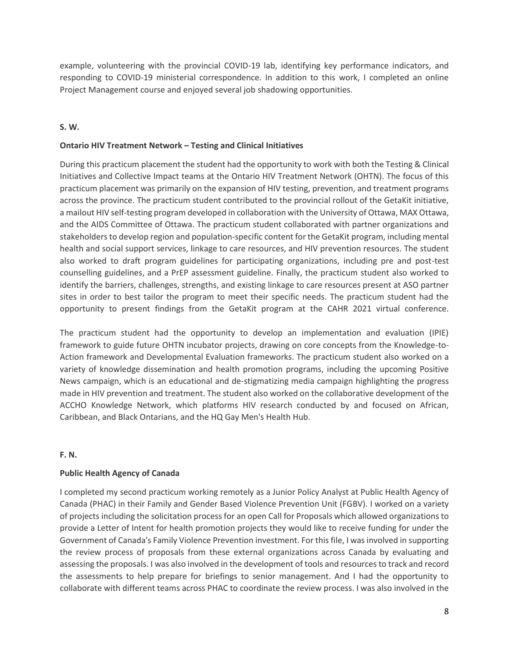example, volunteering with the provincial COVID-19 lab, identifying key performance indicators, and responding to COVID-19 ministerial correspondence. In addition to this work, I completed an online Project Management course and enjoyed several job shadowing opportunities.

# **S. W.**

# **Ontario HIV Treatment Network – Testing and Clinical Initiatives**

During this practicum placement the student had the opportunity to work with both the Testing & Clinical Initiatives and Collective Impact teams at the Ontario HIV Treatment Network (OHTN). The focus of this practicum placement was primarily on the expansion of HIV testing, prevention, and treatment programs across the province. The practicum student contributed to the provincial rollout of the GetaKit initiative, a mailout HIV self-testing program developed in collaboration with the University of Ottawa, MAX Ottawa, and the AIDS Committee of Ottawa. The practicum student collaborated with partner organizations and stakeholders to develop region and population-specific content for the GetaKit program, including mental health and social support services, linkage to care resources, and HIV prevention resources. The student also worked to draft program guidelines for participating organizations, including pre and post-test counselling guidelines, and a PrEP assessment guideline. Finally, the practicum student also worked to identify the barriers, challenges, strengths, and existing linkage to care resources present at ASO partner sites in order to best tailor the program to meet their specific needs. The practicum student had the opportunity to present findings from the GetaKit program at the CAHR 2021 virtual conference.

The practicum student had the opportunity to develop an implementation and evaluation (IPIE) framework to guide future OHTN incubator projects, drawing on core concepts from the Knowledge-to-Action framework and Developmental Evaluation frameworks. The practicum student also worked on a variety of knowledge dissemination and health promotion programs, including the upcoming Positive News campaign, which is an educational and de-stigmatizing media campaign highlighting the progress made in HIV prevention and treatment. The student also worked on the collaborative development of the ACCHO Knowledge Network, which platforms HIV research conducted by and focused on African, Caribbean, and Black Ontarians, and the HQ Gay Men's Health Hub.

## **F. N.**

# **Public Health Agency of Canada**

I completed my second practicum working remotely as a Junior Policy Analyst at Public Health Agency of Canada (PHAC) in their Family and Gender Based Violence Prevention Unit (FGBV). I worked on a variety of projects including the solicitation process for an open Call for Proposals which allowed organizations to provide a Letter of Intent for health promotion projects they would like to receive funding for under the Government of Canada's Family Violence Prevention investment. For this file, I was involved in supporting the review process of proposals from these external organizations across Canada by evaluating and assessing the proposals. I was also involved in the development of tools and resources to track and record the assessments to help prepare for briefings to senior management. And I had the opportunity to collaborate with different teams across PHAC to coordinate the review process. I was also involved in the